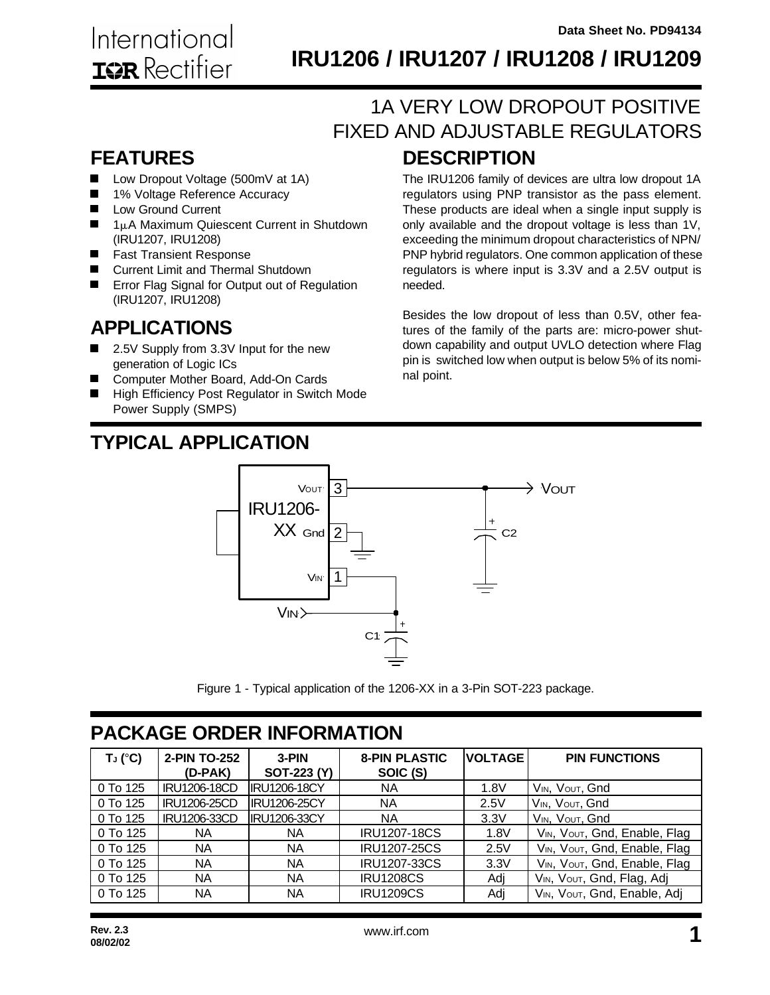# **IRU1206 / IRU1207 / IRU1208 / IRU1209**

## **DESCRIPTION** 1A VERY LOW DROPOUT POSITIVE FIXED AND ADJUSTABLE REGULATORS

### **FEATURES**

- $\blacksquare$ Low Dropout Voltage (500mV at 1A)
- 1% Voltage Reference Accuracy  $\blacksquare$
- Low Ground Current  $\blacksquare$
- $\blacksquare$  1µA Maximum Quiescent Current in Shutdown (IRU1207, IRU1208)
- **Fast Transient Response**
- Current Limit and Thermal Shutdown
- **EXECUTE:** Error Flag Signal for Output out of Regulation (IRU1207, IRU1208)

### **APPLICATIONS**

- 2.5V Supply from 3.3V Input for the new generation of Logic ICs
- Computer Mother Board, Add-On Cards
- High Efficiency Post Regulator in Switch Mode Power Supply (SMPS)

# **TYPICAL APPLICATION**

The IRU1206 family of devices are ultra low dropout 1A regulators using PNP transistor as the pass element. These products are ideal when a single input supply is only available and the dropout voltage is less than 1V, exceeding the minimum dropout characteristics of NPN/ PNP hybrid regulators. One common application of these regulators is where input is 3.3V and a 2.5V output is needed.

Besides the low dropout of less than 0.5V, other features of the family of the parts are: micro-power shutdown capability and output UVLO detection where Flag pin is switched low when output is below 5% of its nominal point.



Figure 1 - Typical application of the 1206-XX in a 3-Pin SOT-223 package.

### **PACKAGE ORDER INFORMATION**

| $T_J (°C)$ | 2-PIN TO-252<br>(D-PAK) | $3-PIN$<br>SOT-223 (Y) | <b>8-PIN PLASTIC</b><br>SOIC (S) | <b>VOLTAGE</b> | <b>PIN FUNCTIONS</b>                   |
|------------|-------------------------|------------------------|----------------------------------|----------------|----------------------------------------|
| 0 To 125   | IRU1206-18CD            | <b>IRU1206-18CY</b>    | NA.                              | 1.8V           | VIN, VOUT, Gnd                         |
| 0 To 125   | IRU1206-25CD            | <b>IRU1206-25CY</b>    | NA.                              | 2.5V           | VIN, VOUT, Gnd                         |
| 0 To 125   | IRU1206-33CD            | <b>IRU1206-33CY</b>    | NA                               | 3.3V           | VIN, VOUT, Gnd                         |
| $0$ To 125 | <b>NA</b>               | NA                     | <b>IRU1207-18CS</b>              | 1.8V           | VIN, VOUT, Gnd, Enable, Flag           |
| $0$ To 125 | NA.                     | NA                     | <b>IRU1207-25CS</b>              | 2.5V           | VIN, VOUT, Gnd, Enable, Flag           |
| 0 To 125   | NA                      | <b>NA</b>              | <b>IRU1207-33CS</b>              | 3.3V           | VIN, VOUT, Gnd, Enable, Flag           |
| 0 To 125   | NA                      | NA                     | <b>IRU1208CS</b>                 | Adj            | V <sub>IN</sub> , Vout, Gnd, Flag, Adj |
| 0 To 125   | NA                      | <b>NA</b>              | <b>IRU1209CS</b>                 | Adj            | VIN, VOUT, Gnd, Enable, Adj            |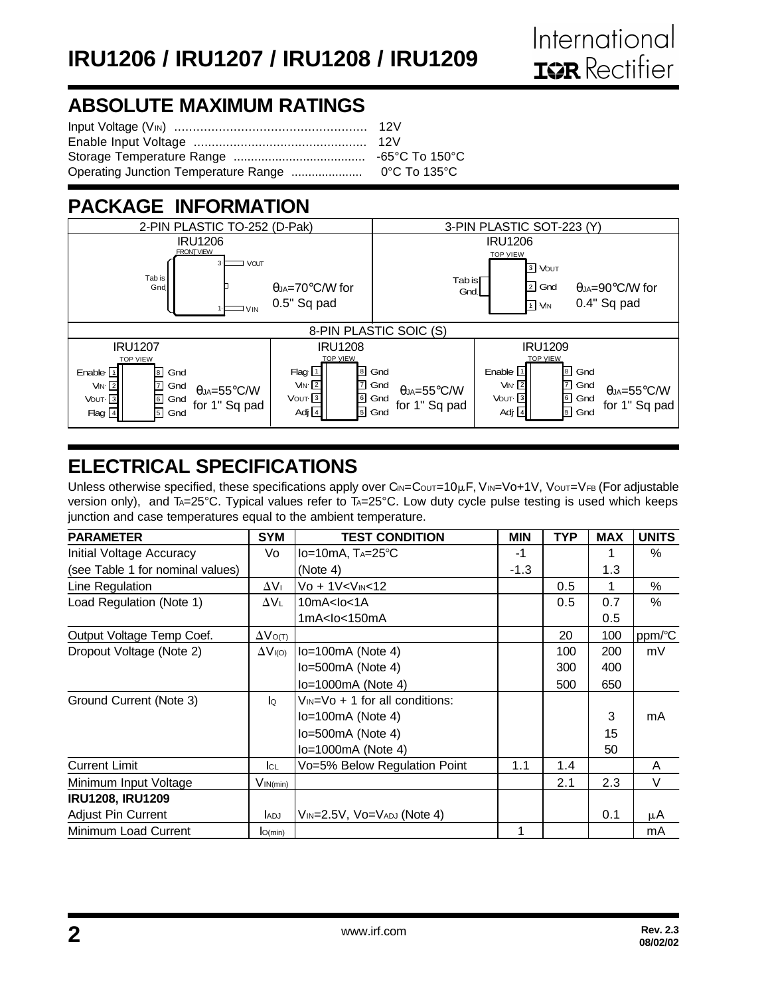## **ABSOLUTE MAXIMUM RATINGS**

### **PACKAGE INFORMATION**



## **ELECTRICAL SPECIFICATIONS**

Unless otherwise specified, these specifications apply over  $C_{\text{IN}}=C_{\text{OUT}}=10\mu\text{F}$ ,  $V_{\text{IN}}=V_0+1V$ ,  $V_{\text{OUT}}=V_{\text{FB}}$  (For adjustable version only), and T<sub>A</sub>=25°C. Typical values refer to T<sub>A</sub>=25°C. Low duty cycle pulse testing is used which keeps junction and case temperatures equal to the ambient temperature.

| <b>PARAMETER</b>                 | <b>SYM</b>           | <b>TEST CONDITION</b>                                                                                    | <b>MIN</b> | TYP | <b>MAX</b> | <b>UNITS</b> |
|----------------------------------|----------------------|----------------------------------------------------------------------------------------------------------|------------|-----|------------|--------------|
| Initial Voltage Accuracy         | Vo                   | $Io=10mA$ , $Ta=25^{\circ}C$                                                                             | -1         |     |            | $\%$         |
| (see Table 1 for nominal values) |                      | (Note 4)                                                                                                 | $-1.3$     |     | 1.3        |              |
| Line Regulation                  | $\Delta V_{\perp}$   | Vo + 1V <vin<12< td=""><td></td><td>0.5</td><td></td><td><math display="inline">\%</math></td></vin<12<> |            | 0.5 |            | $\%$         |
| Load Regulation (Note 1)         | AVL.                 | 10mA <sub>10</sub> < 1A                                                                                  |            | 0.5 | 0.7        | $\%$         |
|                                  |                      | 1mA <lo<150ma< td=""><td></td><td></td><td>0.5</td><td></td></lo<150ma<>                                 |            |     | 0.5        |              |
| Output Voltage Temp Coef.        | $\Delta V$ O(T)      |                                                                                                          |            | 20  | 100        | ppm/°C       |
| Dropout Voltage (Note 2)         | $\Delta V_{I(O)}$    | $lo=100mA$ (Note 4)                                                                                      |            | 100 | 200        | mV           |
|                                  |                      | $lo=500mA$ (Note 4)                                                                                      |            | 300 | 400        |              |
|                                  |                      | lo=1000mA (Note 4)                                                                                       |            | 500 | 650        |              |
| Ground Current (Note 3)          | $\mathsf{I}^{\circ}$ | $V_{IN} = V_0 + 1$ for all conditions:                                                                   |            |     |            |              |
|                                  |                      | $lo=100mA$ (Note 4)                                                                                      |            |     | 3          | mA           |
|                                  |                      | $lo=500mA$ (Note 4)                                                                                      |            |     | 15         |              |
|                                  |                      | $lo=1000mA$ (Note 4)                                                                                     |            |     | 50         |              |
| <b>Current Limit</b>             | Ic∟                  | Vo=5% Below Regulation Point                                                                             | 1.1        | 1.4 |            | A            |
| Minimum Input Voltage            | $V_{IN(min)}$        |                                                                                                          |            | 2.1 | 2.3        | V            |
| <b>IRU1208, IRU1209</b>          |                      |                                                                                                          |            |     |            |              |
| <b>Adjust Pin Current</b>        | <b>ADJ</b>           | $V_{IN}$ =2.5V, $V$ o= $V_{ADJ}$ (Note 4)                                                                |            |     | 0.1        | μA           |
| Minimum Load Current             | O(min)               |                                                                                                          | 1          |     |            | mA           |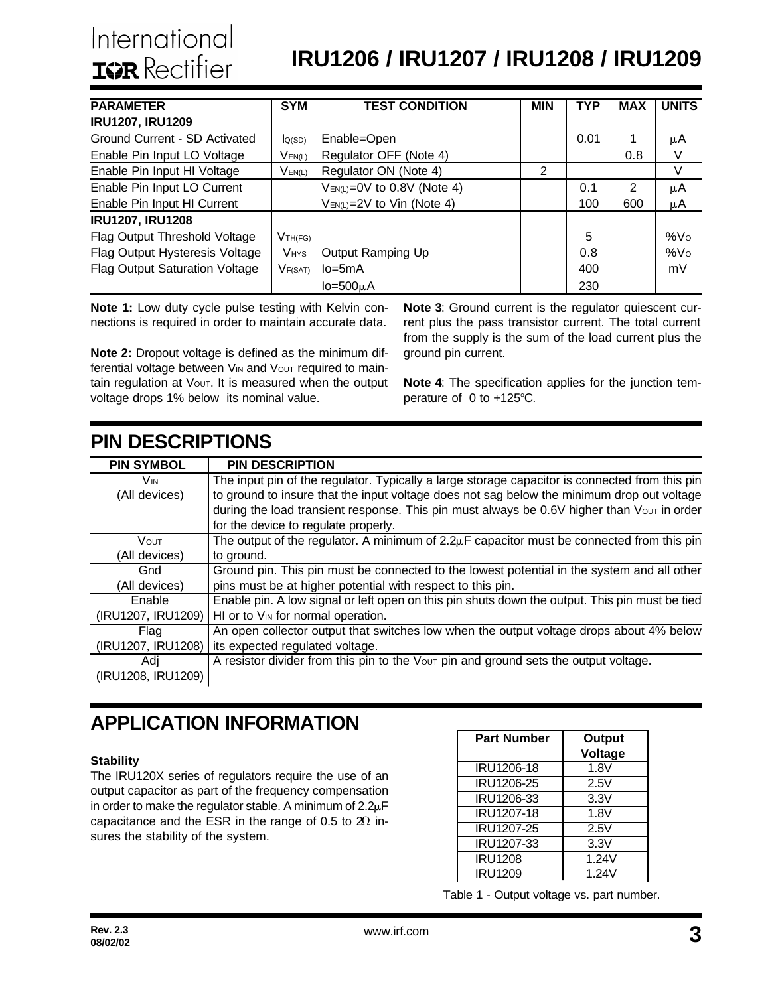# **IRU1206 / IRU1207 / IRU1208 / IRU1209**

| <b>PARAMETER</b>                      | <b>SYM</b>          | <b>TEST CONDITION</b>             | <b>MIN</b> | TYP  | <b>MAX</b> | <b>UNITS</b>    |
|---------------------------------------|---------------------|-----------------------------------|------------|------|------------|-----------------|
| <b>IRU1207, IRU1209</b>               |                     |                                   |            |      |            |                 |
| Ground Current - SD Activated         | Q(SD)               | Enable=Open                       |            | 0.01 | 1          | μA              |
| Enable Pin Input LO Voltage           | $V_{EN(L)}$         | Regulator OFF (Note 4)            |            |      | 0.8        | V               |
| Enable Pin Input HI Voltage           | $V_{EN(L)}$         | Regulator ON (Note 4)             | 2          |      |            | V               |
| Enable Pin Input LO Current           |                     | $V_{EN(L)} = 0V$ to 0.8V (Note 4) |            | 0.1  | 2          | μA              |
| Enable Pin Input HI Current           |                     | $V_{EN(L)} = 2V$ to Vin (Note 4)  |            | 100  | 600        | μA              |
| <b>IRU1207, IRU1208</b>               |                     |                                   |            |      |            |                 |
| Flag Output Threshold Voltage         | V <sub>TH(FG)</sub> |                                   |            | 5    |            | %Vo             |
| Flag Output Hysteresis Voltage        | <b>VHYS</b>         | Output Ramping Up                 |            | 0.8  |            | %V <sub>O</sub> |
| <b>Flag Output Saturation Voltage</b> | <b>VF(SAT)</b>      | $lo = 5mA$                        |            | 400  |            | mV              |
|                                       |                     | $Io = 500µA$                      |            | 230  |            |                 |

**Note 1:** Low duty cycle pulse testing with Kelvin connections is required in order to maintain accurate data.

**Note 2:** Dropout voltage is defined as the minimum differential voltage between V<sub>IN</sub> and V<sub>OUT</sub> required to maintain regulation at Vout. It is measured when the output voltage drops 1% below its nominal value.

**Note 3**: Ground current is the regulator quiescent current plus the pass transistor current. The total current from the supply is the sum of the load current plus the ground pin current.

**Note 4**: The specification applies for the junction temperature of  $0$  to +125 $\degree$ C.

| <b>PIN DESCRIPTIONS</b> |                                                                                                |
|-------------------------|------------------------------------------------------------------------------------------------|
| <b>PIN SYMBOL</b>       | <b>PIN DESCRIPTION</b>                                                                         |
| <b>V<sub>IN</sub></b>   | The input pin of the regulator. Typically a large storage capacitor is connected from this pin |
| (All devices)           | to ground to insure that the input voltage does not sag below the minimum drop out voltage     |
|                         | during the load transient response. This pin must always be 0.6V higher than Vout in order     |
|                         | for the device to regulate properly.                                                           |
| Vout                    | The output of the regulator. A minimum of $2.2\mu$ F capacitor must be connected from this pin |
| (All devices)           | to ground.                                                                                     |
| Gnd                     | Ground pin. This pin must be connected to the lowest potential in the system and all other     |
| (All devices)           | pins must be at higher potential with respect to this pin.                                     |
| Enable                  | Enable pin. A low signal or left open on this pin shuts down the output. This pin must be tied |
| (IRU1207, IRU1209)      | HI or to V <sub>IN</sub> for normal operation.                                                 |
| Flag                    | An open collector output that switches low when the output voltage drops about 4% below        |
| (IRU1207, IRU1208)      | its expected regulated voltage.                                                                |
| Adi                     | A resistor divider from this pin to the Vout pin and ground sets the output voltage.           |
| (IRU1208, IRU1209)      |                                                                                                |

## **APPLICATION INFORMATION**

#### **Stability**

The IRU120X series of regulators require the use of an output capacitor as part of the frequency compensation in order to make the regulator stable. A minimum of  $2.2\mu$ F capacitance and the ESR in the range of 0.5 to  $20$  insures the stability of the system.

| <b>Part Number</b> | <b>Output</b><br>Voltage |
|--------------------|--------------------------|
| IRU1206-18         | 1.8V                     |
| IRU1206-25         | 2.5V                     |
| IRU1206-33         | 3.3V                     |
| IRU1207-18         | 1.8V                     |
| IRU1207-25         | 2.5V                     |
| IRU1207-33         | 3.3V                     |
| <b>IRU1208</b>     | 1.24V                    |
| <b>IRU1209</b>     | 1.24V                    |

Table 1 - Output voltage vs. part number.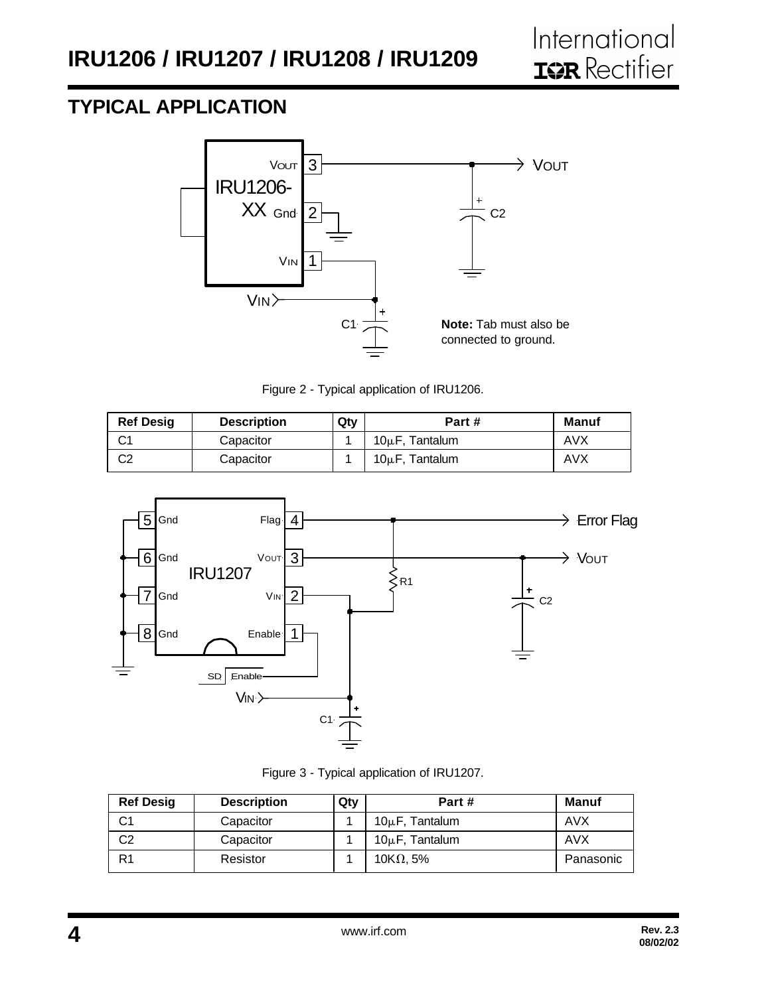### **TYPICAL APPLICATION**



Figure 2 - Typical application of IRU1206.

| <b>Ref Desig</b> | <b>Description</b> | Qty | Part #              | <b>Manuf</b> |
|------------------|--------------------|-----|---------------------|--------------|
| ົ<br>◡           | Capacitor          |     | $10\mu$ F. Tantalum | AVX          |
| C2               | Capacitor          |     | $10\mu$ F, Tantalum | AVX          |



Figure 3 - Typical application of IRU1207.

| <b>Ref Desig</b> | <b>Description</b> | Qty | Part#               | <b>Manuf</b> |
|------------------|--------------------|-----|---------------------|--------------|
| C <sub>1</sub>   | Capacitor          |     | $10\mu$ F, Tantalum | AVX          |
| C2               | Capacitor          |     | $10\mu$ F, Tantalum | AVX          |
| R1               | Resistor           |     | 10K $\Omega$ , 5%   | Panasonic    |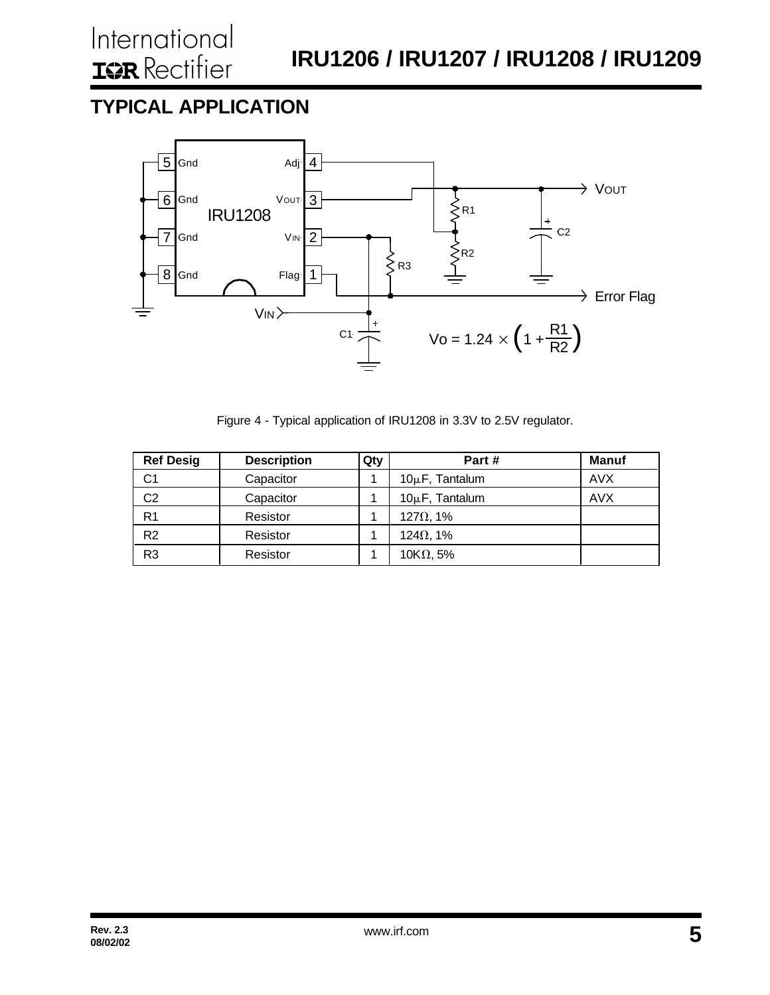## **TYPICAL APPLICATION**



Figure 4 - Typical application of IRU1208 in 3.3V to 2.5V regulator.

| <b>Ref Desig</b> | <b>Description</b> | Qty | Part#               | <b>Manuf</b> |
|------------------|--------------------|-----|---------------------|--------------|
| C1               | Capacitor          |     | $10\mu$ F, Tantalum | <b>AVX</b>   |
| C <sub>2</sub>   | Capacitor          |     | $10\mu$ F, Tantalum | <b>AVX</b>   |
| R <sub>1</sub>   | Resistor           |     | $127\Omega$ , 1%    |              |
| R <sub>2</sub>   | Resistor           |     | $124\Omega$ , 1%    |              |
| R <sub>3</sub>   | Resistor           |     | 10K $\Omega$ , 5%   |              |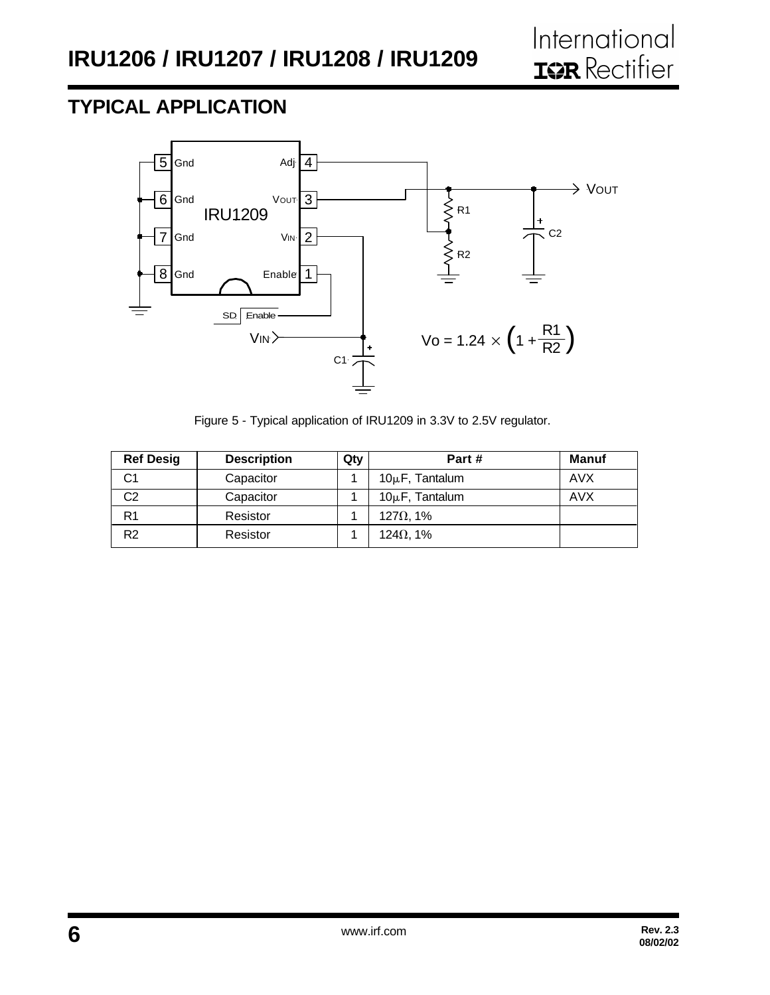## **TYPICAL APPLICATION**



Figure 5 - Typical application of IRU1209 in 3.3V to 2.5V regulator.

| <b>Ref Desig</b> | <b>Description</b> | Qty | Part#               | <b>Manuf</b> |
|------------------|--------------------|-----|---------------------|--------------|
| C1               | Capacitor          |     | $10\mu$ F, Tantalum | <b>AVX</b>   |
| C2               | Capacitor          |     | $10\mu$ F, Tantalum | <b>AVX</b>   |
| R1               | Resistor           |     | $127\Omega$ , 1%    |              |
| R <sub>2</sub>   | Resistor           |     | 124 $\Omega$ , 1%   |              |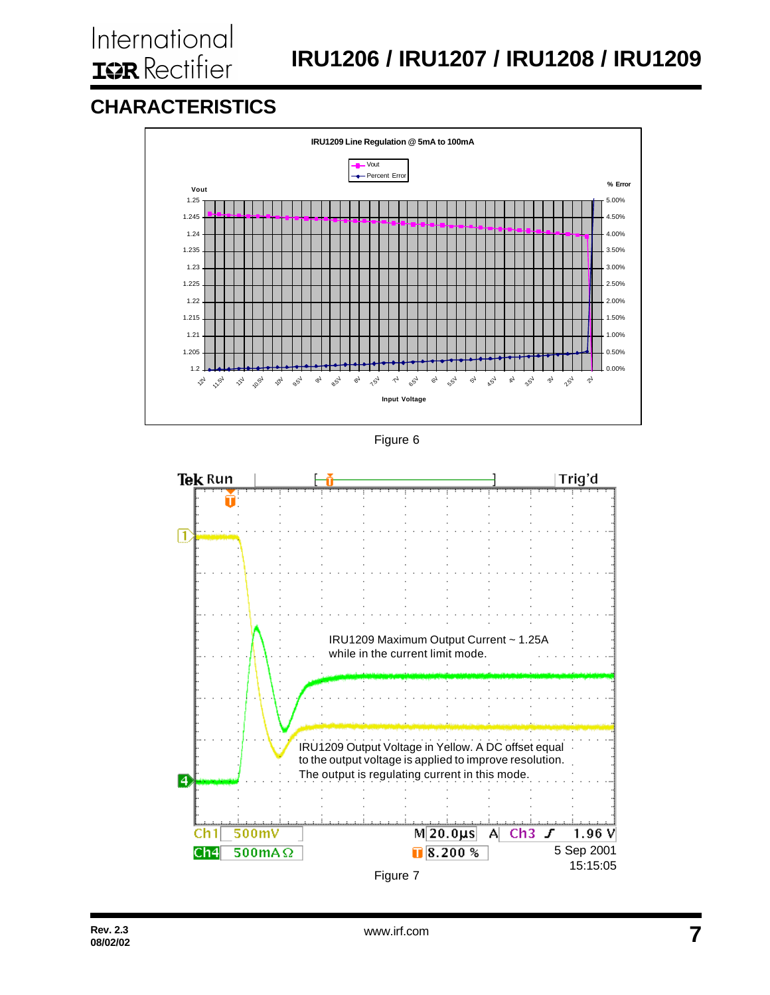## **CHARACTERISTICS**





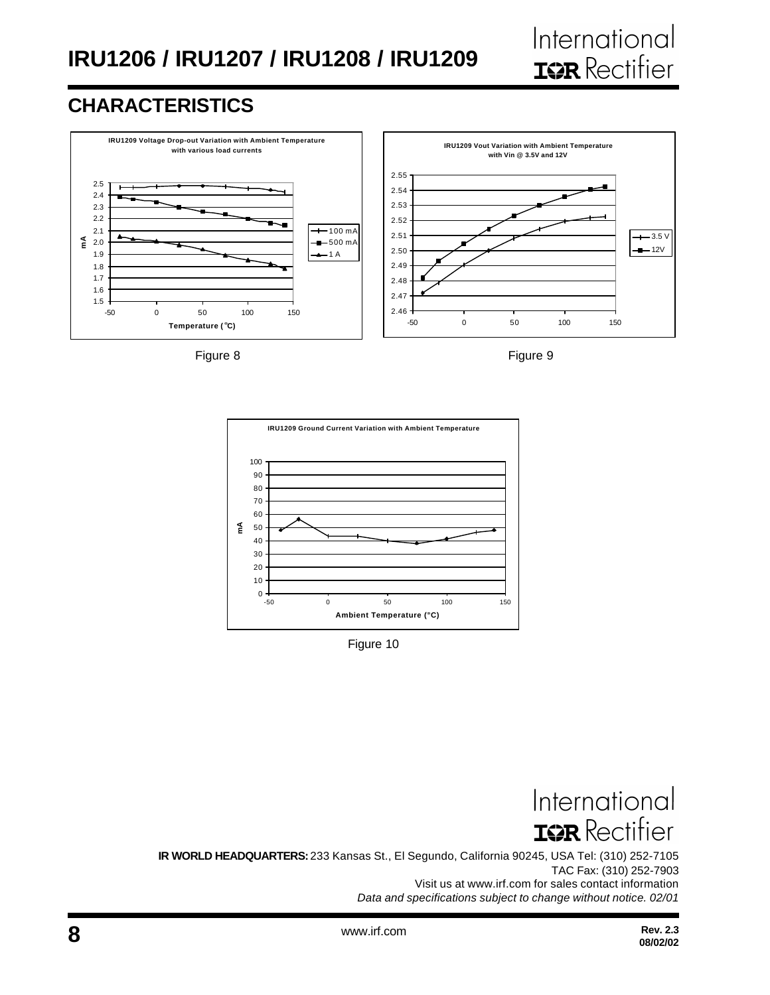

## **CHARACTERISTICS**







Figure 10

International **ISR** Rectifier

**IR WORLD HEADQUARTERS:** 233 Kansas St., El Segundo, California 90245, USA Tel: (310) 252-7105 TAC Fax: (310) 252-7903 Visit us at www.irf.com for sales contact information *Data and specifications subject to change without notice. 02/01*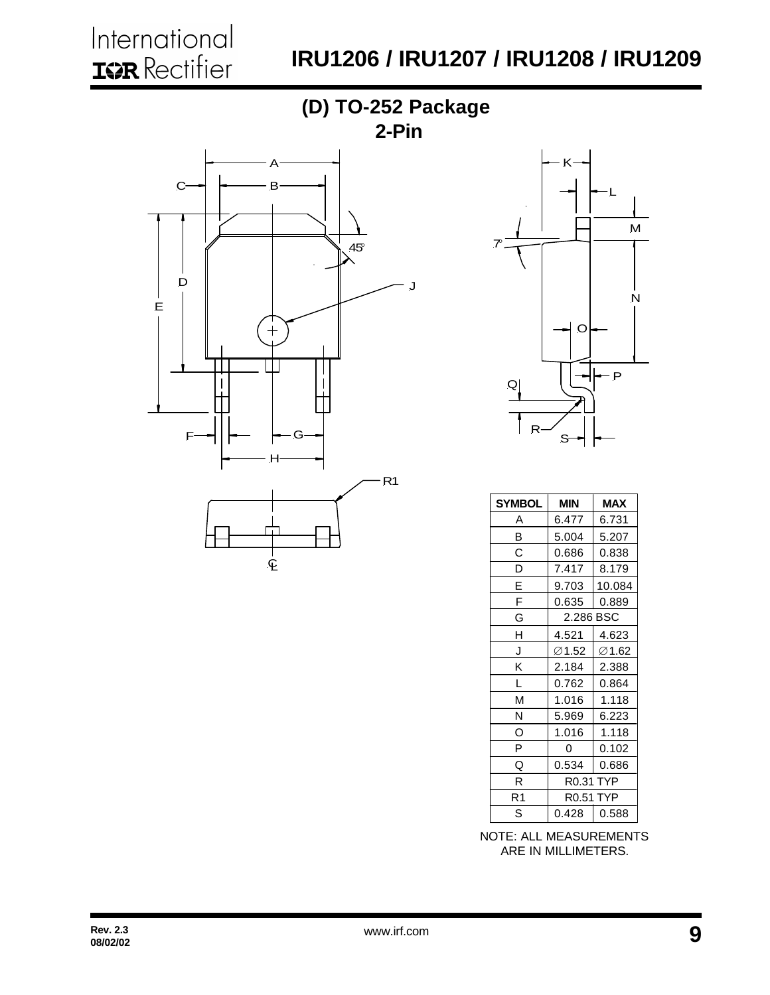# **IRU1206 / IRU1207 / IRU1208 / IRU1209**





| <b>SYMBOL</b> | MIN                 | <b>MAX</b> |  |
|---------------|---------------------|------------|--|
| Α             | 6.477               | 6.731      |  |
| B             | 5.004               | 5.207      |  |
| С             | 0.686               | 0.838      |  |
| D             | 7.417               | 8.179      |  |
| E             | 9.703               | 10.084     |  |
| F             | 0.635               | 0.889      |  |
| G             | 2.286 BSC           |            |  |
| H             | 4.521               | 4.623      |  |
| J             | ∅1.52               | ∅1.62      |  |
| Κ             | 2.184               | 2.388      |  |
| L             | 0.762               | 0.864      |  |
| М             | 1.016               | 1.118      |  |
| Ν             | 5.969               | 6.223      |  |
| O             | 1.016               | 1.118      |  |
| P             | 0                   | 0.102      |  |
| Q             | 0.534               | 0.686      |  |
| R             | R0.31 TYP           |            |  |
| R1            | <b>TYP</b><br>R0.51 |            |  |
| S             | 0.428               | 0.588      |  |

NOTE: ALL MEASUREMENTS ARE IN MILLIMETERS.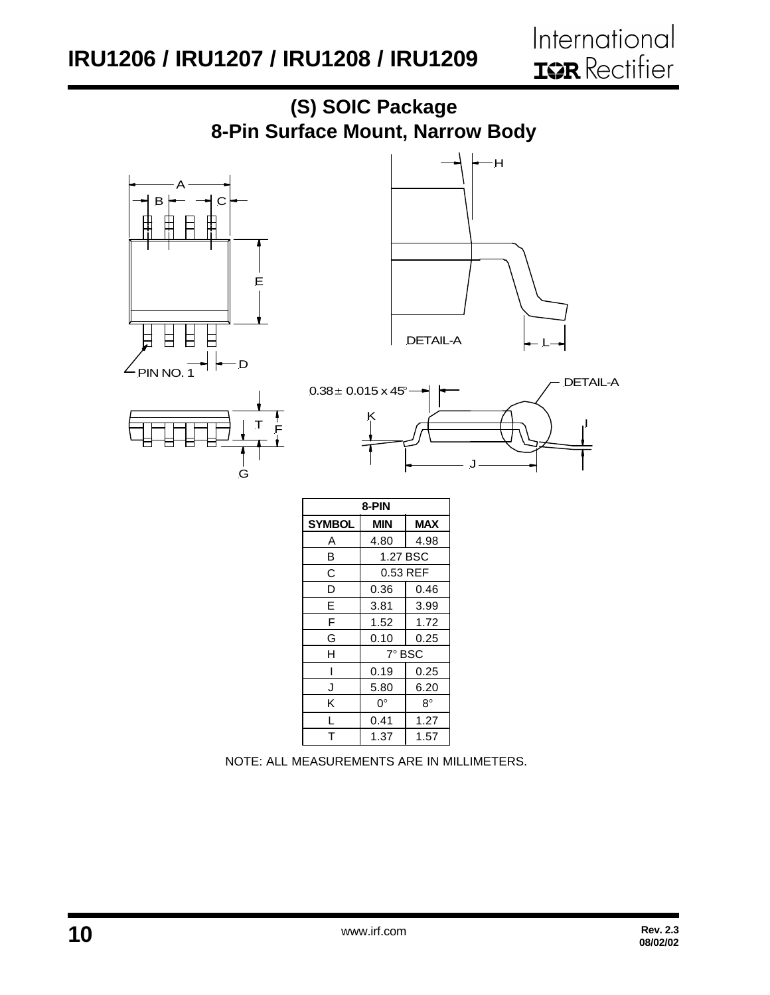

NOTE: ALL MEASUREMENTS ARE IN MILLIMETERS.

5.80  $0^{\circ}$ 0.41 1.37 6.20  $8^{\circ}$ 1.27 1.57

J K L  $\overline{\mathsf{T}}$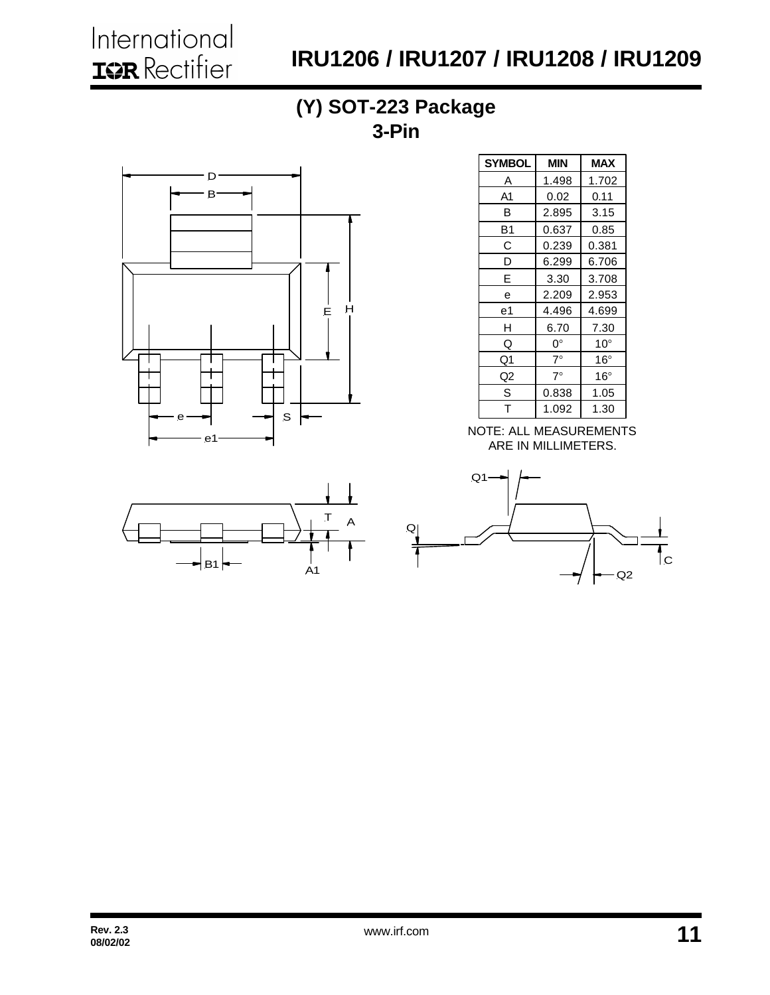International **IGR** Rectifier

# **IRU1206 / IRU1207 / IRU1208 / IRU1209**

### **(Y) SOT-223 Package 3-Pin**





| SYMBOL         | MIN         | <b>MAX</b>   |
|----------------|-------------|--------------|
| Α              | 1.498       | 1.702        |
| A <sub>1</sub> | 0.02        | 0.11         |
| в              | 2.895       | 3.15         |
| B1             | 0.637       | 0.85         |
| С              | 0.239       | 0.381        |
| D              | 6.299       | 6.706        |
| E              | 3.30        | 3.708        |
| е              | 2.209       | 2.953        |
| е1             | 4.496       | 4.699        |
| н              | 6.70        | 7.30         |
| Q              | 0°          | $10^{\circ}$ |
| Q1             | $7^{\circ}$ | $16^{\circ}$ |
| Q <sub>2</sub> | $7^\circ$   | $16^{\circ}$ |
| S              | 0.838       | 1.05         |
| T              | 1.092       | 1.30         |

NOTE: ALL MEASUREMENTS ARE IN MILLIMETERS.